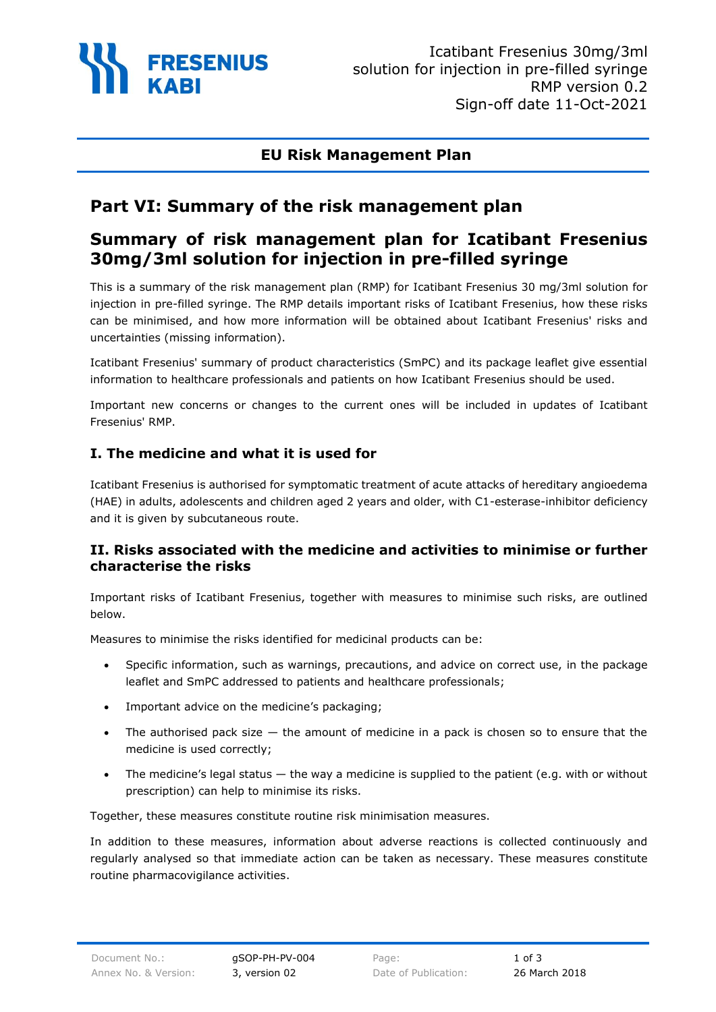

## **EU Risk Management Plan**

# **Part VI: Summary of the risk management plan**

# **Summary of risk management plan for Icatibant Fresenius 30mg/3ml solution for injection in pre-filled syringe**

This is a summary of the risk management plan (RMP) for Icatibant Fresenius 30 mg/3ml solution for injection in pre-filled syringe. The RMP details important risks of Icatibant Fresenius, how these risks can be minimised, and how more information will be obtained about Icatibant Fresenius' risks and uncertainties (missing information).

Icatibant Fresenius' summary of product characteristics (SmPC) and its package leaflet give essential information to healthcare professionals and patients on how Icatibant Fresenius should be used.

Important new concerns or changes to the current ones will be included in updates of Icatibant Fresenius' RMP.

#### **I. The medicine and what it is used for**

Icatibant Fresenius is authorised for symptomatic treatment of acute attacks of hereditary angioedema (HAE) in adults, adolescents and children aged 2 years and older, with C1-esterase-inhibitor deficiency and it is given by subcutaneous route.

#### **II. Risks associated with the medicine and activities to minimise or further characterise the risks**

Important risks of Icatibant Fresenius, together with measures to minimise such risks, are outlined below.

Measures to minimise the risks identified for medicinal products can be:

- Specific information, such as warnings, precautions, and advice on correct use, in the package leaflet and SmPC addressed to patients and healthcare professionals;
- Important advice on the medicine's packaging;
- The authorised pack size  $-$  the amount of medicine in a pack is chosen so to ensure that the medicine is used correctly;
- The medicine's legal status  $-$  the way a medicine is supplied to the patient (e.g. with or without prescription) can help to minimise its risks.

Together, these measures constitute routine risk minimisation measures.

In addition to these measures, information about adverse reactions is collected continuously and regularly analysed so that immediate action can be taken as necessary. These measures constitute routine pharmacovigilance activities.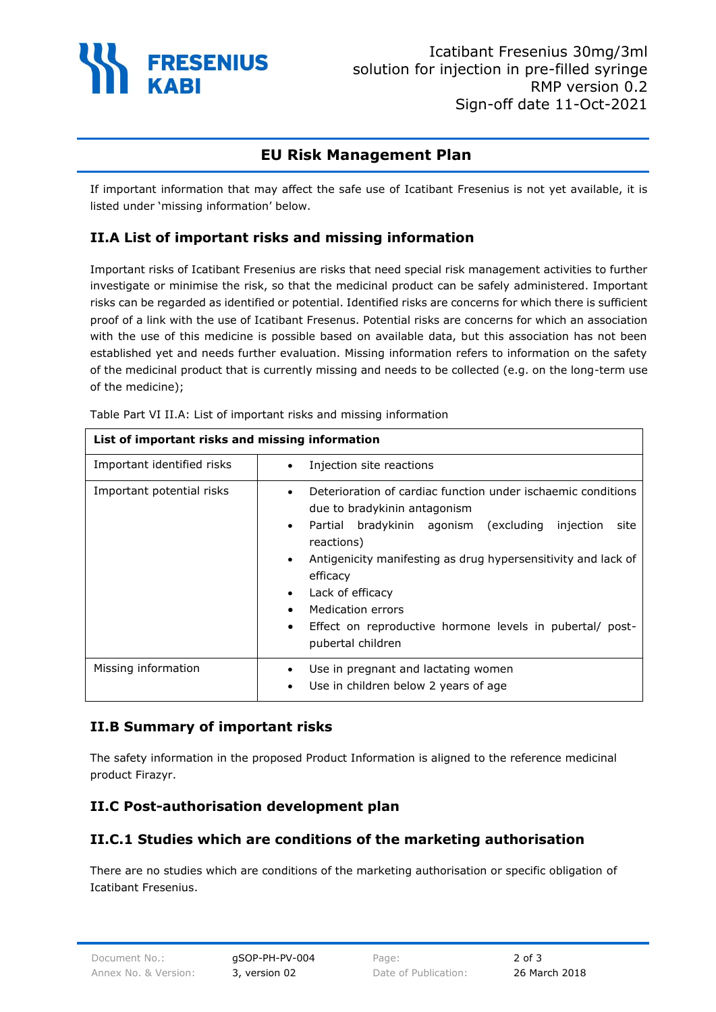

# **EU Risk Management Plan**

If important information that may affect the safe use of Icatibant Fresenius is not yet available, it is listed under 'missing information' below.

### **II.A List of important risks and missing information**

Important risks of Icatibant Fresenius are risks that need special risk management activities to further investigate or minimise the risk, so that the medicinal product can be safely administered. Important risks can be regarded as identified or potential. Identified risks are concerns for which there is sufficient proof of a link with the use of Icatibant Fresenus. Potential risks are concerns for which an association with the use of this medicine is possible based on available data, but this association has not been established yet and needs further evaluation. Missing information refers to information on the safety of the medicinal product that is currently missing and needs to be collected (e.g. on the long-term use of the medicine);

| List of important risks and missing information |                                                                                                                                                                                                                                                                                                                                                                                                                                                  |
|-------------------------------------------------|--------------------------------------------------------------------------------------------------------------------------------------------------------------------------------------------------------------------------------------------------------------------------------------------------------------------------------------------------------------------------------------------------------------------------------------------------|
| Important identified risks                      | Injection site reactions<br>$\bullet$                                                                                                                                                                                                                                                                                                                                                                                                            |
| Important potential risks                       | Deterioration of cardiac function under ischaemic conditions<br>$\bullet$<br>due to bradykinin antagonism<br>Partial bradykinin agonism (excluding<br>injection<br>site<br>$\bullet$<br>reactions)<br>Antigenicity manifesting as drug hypersensitivity and lack of<br>$\bullet$<br>efficacy<br>Lack of efficacy<br>$\bullet$<br>Medication errors<br>Effect on reproductive hormone levels in pubertal/ post-<br>$\bullet$<br>pubertal children |
| Missing information                             | Use in pregnant and lactating women<br>$\bullet$<br>Use in children below 2 years of age<br>$\bullet$                                                                                                                                                                                                                                                                                                                                            |

Table Part VI II.A: List of important risks and missing information

#### **II.B Summary of important risks**

The safety information in the proposed Product Information is aligned to the reference medicinal product Firazyr.

### **II.C Post-authorisation development plan**

### **II.C.1 Studies which are conditions of the marketing authorisation**

There are no studies which are conditions of the marketing authorisation or specific obligation of Icatibant Fresenius.